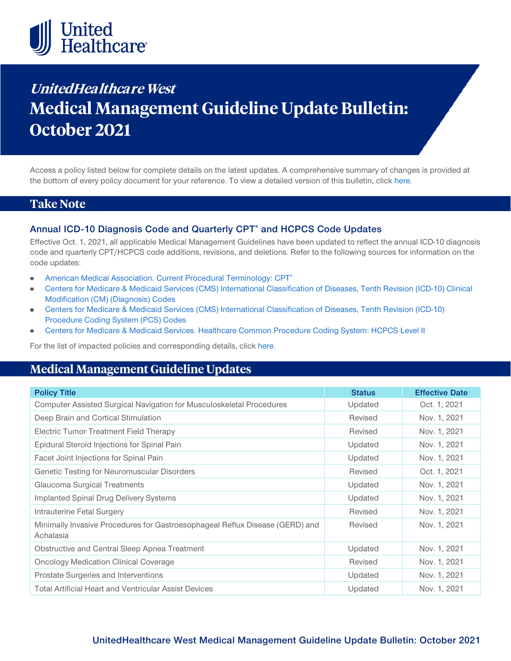

# **UnitedHealthcare West Medical Management Guideline Update Bulletin: October 2021**

Access a policy listed below for complete details on the latest updates. A comprehensive summary of changes is provided at the bottom of every policy document for your reference. To view a detailed version of this bulletin, clic[k here.](https://www.uhcprovider.com/content/dam/provider/docs/public/policies/mpub-archives/sv-mmg/sv-mmg-update-bulletin-october-2021-full.pdf)

### **Take Note**

#### **Annual ICD-10 Diagnosis Code and Quarterly CPT® and HCPCS Code Updates**

Effective Oct. 1, 2021, all applicable Medical Management Guidelines have been updated to reflect the annual ICD-10 diagnosis code and quarterly CPT/HCPCS code additions, revisions, and deletions. Refer to the following sources for information on the code updates:

- $\bullet$ [American Medical Association. Current Procedural Terminology: CPT®](https://www.ama-assn.org/practice-management/cpt)
- [Centers for Medicare & Medicaid Services \(CMS\) International Classification of Diseases, Tenth Revision \(ICD-10\) Clinical](https://www.cms.gov/medicare/icd-10/2021-icd-10-cm)   $\bullet$ [Modification \(CM\) \(Diagnosis\) Codes](https://www.cms.gov/medicare/icd-10/2021-icd-10-cm)
- [Centers for Medicare & Medicaid Services \(CMS\) International Classification of Diseases, Tenth Revision \(ICD-10\)](https://www.cms.gov/medicare/icd-10/2021-icd-10-pcs)   $\bullet$ [Procedure Coding System \(PCS\) Codes](https://www.cms.gov/medicare/icd-10/2021-icd-10-pcs)
- [Centers for Medicare & Medicaid Services. Healthcare Common Procedure Coding System: HCPCS Level II](https://www.cms.gov/Medicare/Coding/MedHCPCSGenInfo/index.html)

For the list of impacted policies and corresponding details, click [here.](https://www.uhcprovider.com/content/dam/provider/docs/public/policies/mpub-archives/sv-mmg/sv-mmg-update-bulletin-october-2021-full.pdf)

## **Medical Management Guideline Updates**

| <b>Policy Title</b>                                                                       | <b>Status</b> | <b>Effective Date</b> |
|-------------------------------------------------------------------------------------------|---------------|-----------------------|
| Computer Assisted Surgical Navigation for Musculoskeletal Procedures                      | Updated       | Oct. 1, 2021          |
| Deep Brain and Cortical Stimulation                                                       | Revised       | Nov. 1, 2021          |
| Electric Tumor Treatment Field Therapy                                                    | Revised       | Nov. 1, 2021          |
| Epidural Steroid Injections for Spinal Pain                                               | Updated       | Nov. 1, 2021          |
| Facet Joint Injections for Spinal Pain                                                    | Updated       | Nov. 1, 2021          |
| Genetic Testing for Neuromuscular Disorders                                               | Revised       | Oct. 1, 2021          |
| Glaucoma Surgical Treatments                                                              | Updated       | Nov. 1, 2021          |
| Implanted Spinal Drug Delivery Systems                                                    | Updated       | Nov. 1, 2021          |
| Intrauterine Fetal Surgery                                                                | Revised       | Nov. 1, 2021          |
| Minimally Invasive Procedures for Gastroesophageal Reflux Disease (GERD) and<br>Achalasia | Revised       | Nov. 1, 2021          |
| Obstructive and Central Sleep Apnea Treatment                                             | Updated       | Nov. 1, 2021          |
| <b>Oncology Medication Clinical Coverage</b>                                              | Revised       | Nov. 1, 2021          |
| Prostate Surgeries and Interventions                                                      | Updated       | Nov. 1, 2021          |
| <b>Total Artificial Heart and Ventricular Assist Devices</b>                              | Updated       | Nov. 1, 2021          |

#### **UnitedHealthcare West Medical Management Guideline Update Bulletin: October 2021**